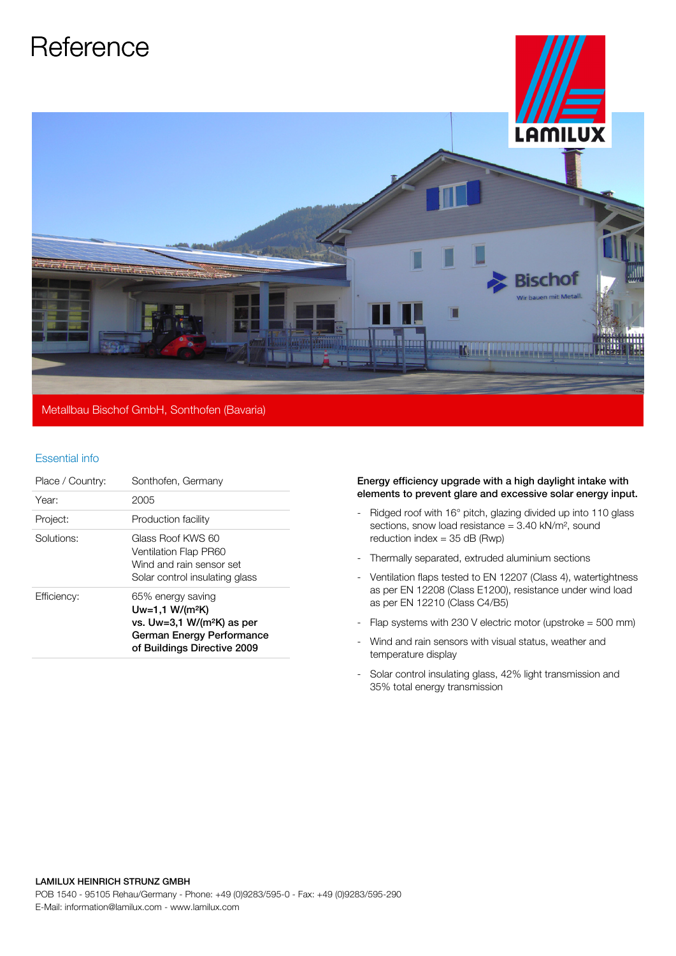

## Essential info

| Place / Country: | Sonthofen, Germany                                                                                                                 |
|------------------|------------------------------------------------------------------------------------------------------------------------------------|
| Year:            | 2005                                                                                                                               |
| Project:         | Production facility                                                                                                                |
| Solutions:       | Glass Roof KWS 60<br><b>Ventilation Flap PR60</b><br>Wind and rain sensor set<br>Solar control insulating glass                    |
| Efficiency:      | 65% energy saving<br>$Uw=1,1 W/(m^2K)$<br>vs. $Uw=3.1 W/(m^2K)$ as per<br>German Energy Performance<br>of Buildings Directive 2009 |

## Energy efficiency upgrade with a high daylight intake with elements to prevent glare and excessive solar energy input.

- Ridged roof with 16° pitch, glazing divided up into 110 glass sections, snow load resistance = 3.40 kN/m², sound reduction index  $=$  35 dB (Rwp)
- Thermally separated, extruded aluminium sections
- Ventilation flaps tested to EN 12207 (Class 4), watertightness as per EN 12208 (Class E1200), resistance under wind load as per EN 12210 (Class C4/B5)
- Flap systems with 230 V electric motor (upstroke  $=$  500 mm)
- Wind and rain sensors with visual status, weather and temperature display
- Solar control insulating glass, 42% light transmission and 35% total energy transmission